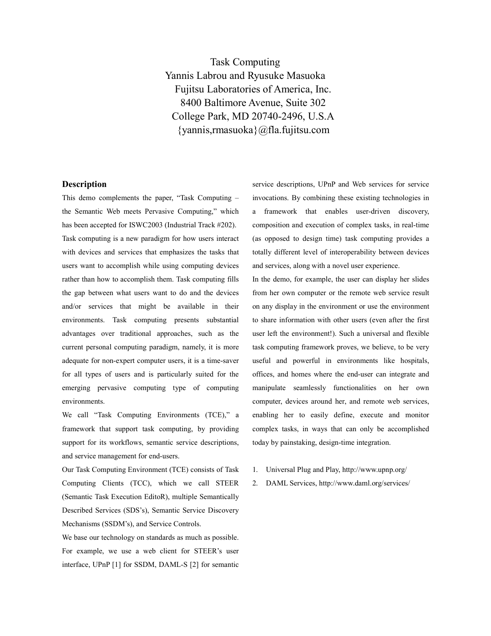Task Computing Yannis Labrou and Ryusuke Masuoka Fujitsu Laboratories of America, Inc. 8400 Baltimore Avenue, Suite 302 College Park, MD 20740-2496, U.S.A {yannis,rmasuoka}@fla.fujitsu.com

## **Description**

This demo complements the paper, "Task Computing – the Semantic Web meets Pervasive Computing," which has been accepted for ISWC2003 (Industrial Track #202). Task computing is a new paradigm for how users interact with devices and services that emphasizes the tasks that users want to accomplish while using computing devices rather than how to accomplish them. Task computing fills the gap between what users want to do and the devices and/or services that might be available in their environments. Task computing presents substantial advantages over traditional approaches, such as the current personal computing paradigm, namely, it is more adequate for non-expert computer users, it is a time-saver for all types of users and is particularly suited for the emerging pervasive computing type of computing environments.

We call "Task Computing Environments (TCE)," a framework that support task computing, by providing support for its workflows, semantic service descriptions, and service management for end-users.

Our Task Computing Environment (TCE) consists of Task Computing Clients (TCC), which we call STEER (Semantic Task Execution EditoR), multiple Semantically Described Services (SDS's), Semantic Service Discovery Mechanisms (SSDM's), and Service Controls.

We base our technology on standards as much as possible. For example, we use a web client for STEER's user interface, UPnP [1] for SSDM, DAML-S [2] for semantic service descriptions, UPnP and Web services for service invocations. By combining these existing technologies in a framework that enables user-driven discovery, composition and execution of complex tasks, in real-time (as opposed to design time) task computing provides a totally different level of interoperability between devices and services, along with a novel user experience.

In the demo, for example, the user can display her slides from her own computer or the remote web service result on any display in the environment or use the environment to share information with other users (even after the first user left the environment!). Such a universal and flexible task computing framework proves, we believe, to be very useful and powerful in environments like hospitals, offices, and homes where the end-user can integrate and manipulate seamlessly functionalities on her own computer, devices around her, and remote web services, enabling her to easily define, execute and monitor complex tasks, in ways that can only be accomplished today by painstaking, design-time integration.

- 1. Universal Plug and Play, http://www.upnp.org/
- 2. DAML Services, http://www.daml.org/services/